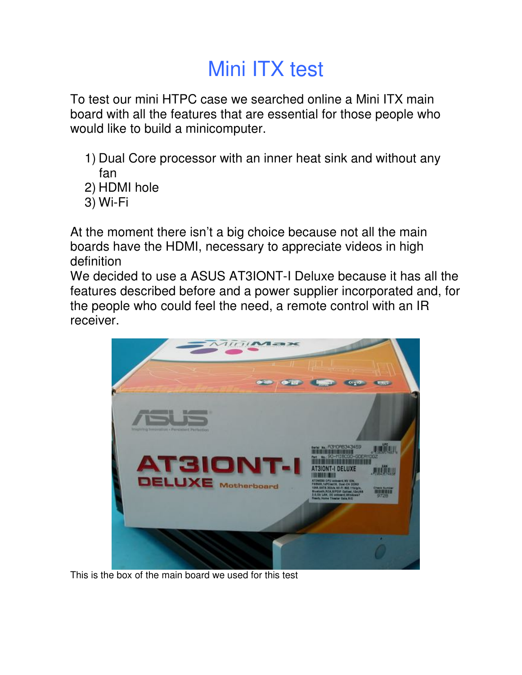## Mini ITX test

To test our mini HTPC case we searched online a Mini ITX main board with all the features that are essential for those people who would like to build a minicomputer.

- 1) Dual Core processor with an inner heat sink and without any fan
- 2) HDMI hole
- 3) Wi-Fi

At the moment there isn't a big choice because not all the main boards have the HDMI, necessary to appreciate videos in high definition

We decided to use a ASUS AT3IONT-I Deluxe because it has all the features described before and a power supplier incorporated and, for the people who could feel the need, a remote control with an IR receiver.



This is the box of the main board we used for this test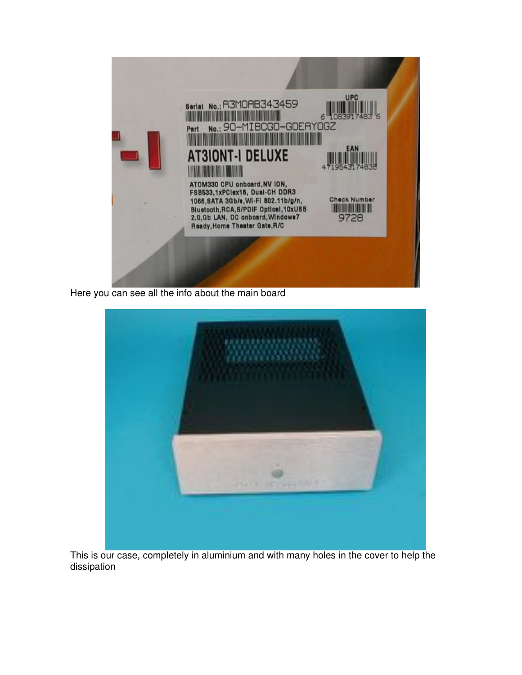

Here you can see all the info about the main board



This is our case, completely in aluminium and with many holes in the cover to help the dissipation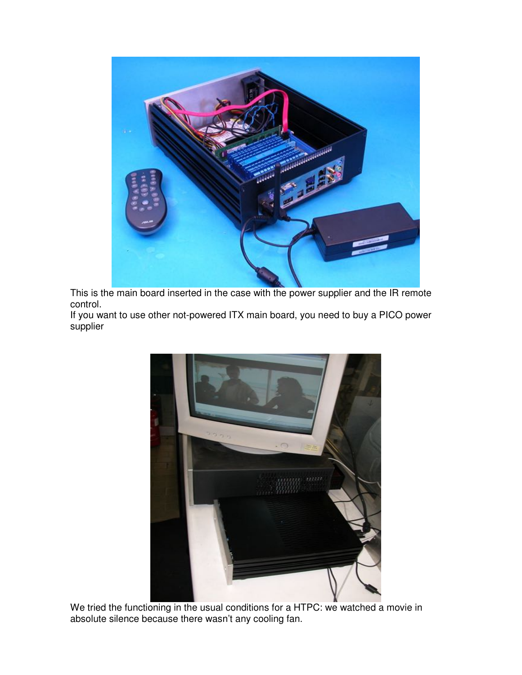

This is the main board inserted in the case with the power supplier and the IR remote control.

If you want to use other not-powered ITX main board, you need to buy a PICO power supplier



We tried the functioning in the usual conditions for a HTPC: we watched a movie in absolute silence because there wasn't any cooling fan.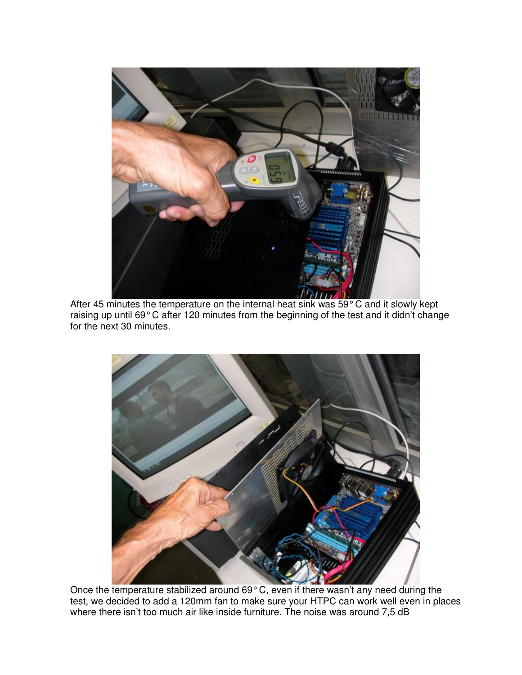

After 45 minutes the temperature on the internal heat sink was 59° C and it slowly kept raising up until 69° C after 120 minutes from the beginning of the test and it didn't change for the next 30 minutes.



Once the temperature stabilized around 69° C, even if there wasn't any need during the test, we decided to add a 120mm fan to make sure your HTPC can work well even in places where there isn't too much air like inside furniture. The noise was around 7,5 dB